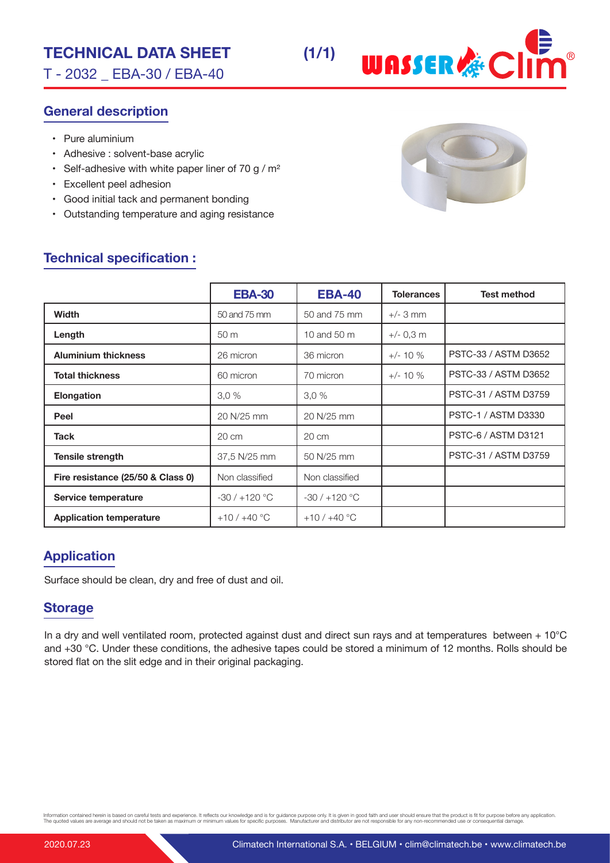## **TECHNICAL DATA SHEET (1/1)**

T - 2032 \_ EBA-30 / EBA-40

### **General description**

- Pure aluminium
- Adhesive : solvent-base acrylic
- Self-adhesive with white paper liner of 70 g /  $m<sup>2</sup>$
- Excellent peel adhesion
- Good initial tack and permanent bonding
- Outstanding temperature and aging resistance



**WASSER &CI** 

### **Technical specification :**

|                                   | <b>EBA-30</b>  | <b>EBA-40</b>   | <b>Tolerances</b> | <b>Test method</b>          |
|-----------------------------------|----------------|-----------------|-------------------|-----------------------------|
| <b>Width</b>                      | 50 and 75 mm   | 50 and 75 mm    | $+/-$ 3 mm        |                             |
| Length                            | 50 m           | 10 and 50 m     | $+/- 0,3$ m       |                             |
| <b>Aluminium thickness</b>        | 26 micron      | 36 micron       | $+/- 10 \%$       | PSTC-33 / ASTM D3652        |
| <b>Total thickness</b>            | 60 micron      | 70 micron       | $+/- 10 \%$       | PSTC-33 / ASTM D3652        |
| <b>Elongation</b>                 | 3.0%           | 3.0%            |                   | PSTC-31 / ASTM D3759        |
| Peel                              | 20 N/25 mm     | 20 N/25 mm      |                   | <b>PSTC-1 / ASTM D3330</b>  |
| <b>Tack</b>                       | 20 cm          | $20 \text{ cm}$ |                   | <b>PSTC-6 / ASTM D3121</b>  |
| <b>Tensile strength</b>           | 37,5 N/25 mm   | 50 N/25 mm      |                   | <b>PSTC-31 / ASTM D3759</b> |
| Fire resistance (25/50 & Class 0) | Non classified | Non classified  |                   |                             |
| Service temperature               | $-30/+120$ °C  | $-30/+120$ °C   |                   |                             |
| <b>Application temperature</b>    | $+10/+40$ °C   | $+10/+40$ °C    |                   |                             |

### **Application**

Surface should be clean, dry and free of dust and oil.

#### **Storage**

In a dry and well ventilated room, protected against dust and direct sun rays and at temperatures between + 10°C and +30 °C. Under these conditions, the adhesive tapes could be stored a minimum of 12 months. Rolls should be stored flat on the slit edge and in their original packaging.

Information contained herein is based on careful tests and experience. It reflects our knowledge and is for guidance purpose only. It is given in good faith and user should ensure that the product is fit for purpose before